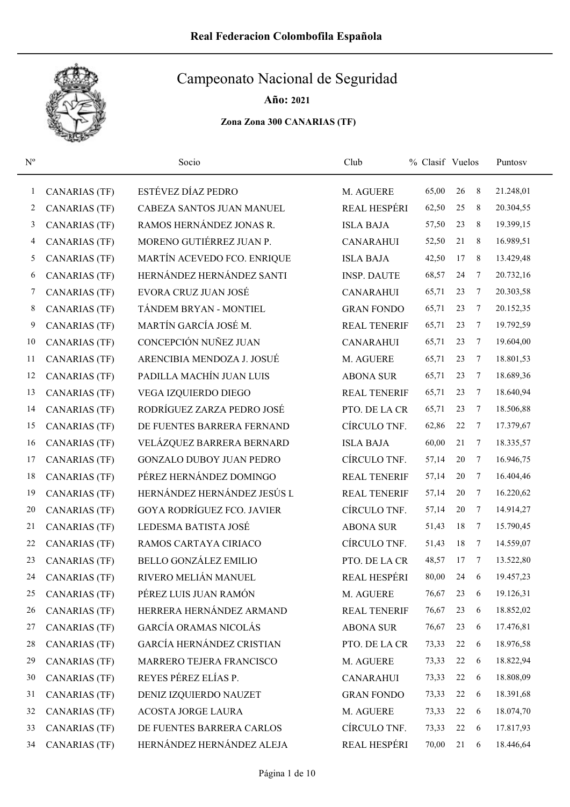

Año: 2021

| $N^{\rm o}$  |                      | Socio                             | Club                | % Clasif Vuelos |        |   | Puntosy   |
|--------------|----------------------|-----------------------------------|---------------------|-----------------|--------|---|-----------|
| $\mathbf{1}$ | <b>CANARIAS (TF)</b> | ESTÉVEZ DÍAZ PEDRO                | M. AGUERE           | 65,00           | 26     | 8 | 21.248,01 |
| 2            | <b>CANARIAS (TF)</b> | CABEZA SANTOS JUAN MANUEL         | <b>REAL HESPÉRI</b> | 62,50           | 25     | 8 | 20.304,55 |
| 3            | <b>CANARIAS (TF)</b> | RAMOS HERNÁNDEZ JONAS R.          | <b>ISLA BAJA</b>    | 57,50           | 23     | 8 | 19.399,15 |
| 4            | <b>CANARIAS (TF)</b> | MORENO GUTIÉRREZ JUAN P.          | <b>CANARAHUI</b>    | 52,50           | 21     | 8 | 16.989,51 |
| 5            | CANARIAS (TF)        | MARTÍN ACEVEDO FCO. ENRIQUE       | <b>ISLA BAJA</b>    | 42,50           | 17     | 8 | 13.429,48 |
| 6            | CANARIAS (TF)        | HERNÁNDEZ HERNÁNDEZ SANTI         | <b>INSP. DAUTE</b>  | 68,57           | 24     | 7 | 20.732,16 |
| 7            | <b>CANARIAS (TF)</b> | EVORA CRUZ JUAN JOSÉ              | <b>CANARAHUI</b>    | 65,71           | 23     | 7 | 20.303,58 |
| 8            | <b>CANARIAS (TF)</b> | TÁNDEM BRYAN - MONTIEL            | <b>GRAN FONDO</b>   | 65,71           | 23     | 7 | 20.152,35 |
| 9            | CANARIAS (TF)        | MARTÍN GARCÍA JOSÉ M.             | <b>REAL TENERIF</b> | 65,71           | 23     | 7 | 19.792,59 |
| 10           | <b>CANARIAS (TF)</b> | CONCEPCIÓN NUÑEZ JUAN             | <b>CANARAHUI</b>    | 65,71           | 23     | 7 | 19.604,00 |
| 11           | CANARIAS (TF)        | ARENCIBIA MENDOZA J. JOSUÉ        | M. AGUERE           | 65,71           | 23     | 7 | 18.801,53 |
| 12           | <b>CANARIAS (TF)</b> | PADILLA MACHÍN JUAN LUIS          | <b>ABONA SUR</b>    | 65,71           | 23     | 7 | 18.689,36 |
| 13           | <b>CANARIAS (TF)</b> | VEGA IZQUIERDO DIEGO              | <b>REAL TENERIF</b> | 65,71           | 23     | 7 | 18.640,94 |
| 14           | <b>CANARIAS (TF)</b> | RODRÍGUEZ ZARZA PEDRO JOSÉ        | PTO. DE LA CR       | 65,71           | 23     | 7 | 18.506,88 |
| 15           | CANARIAS (TF)        | DE FUENTES BARRERA FERNAND        | CÍRCULO TNF.        | 62,86           | 22     | 7 | 17.379,67 |
| 16           | <b>CANARIAS (TF)</b> | VELÁZQUEZ BARRERA BERNARD         | <b>ISLA BAJA</b>    | 60,00           | 21     | 7 | 18.335,57 |
| 17           | <b>CANARIAS (TF)</b> | <b>GONZALO DUBOY JUAN PEDRO</b>   | CÍRCULO TNF.        | 57,14           | 20     | 7 | 16.946,75 |
| 18           | CANARIAS (TF)        | PÉREZ HERNÁNDEZ DOMINGO           | <b>REAL TENERIF</b> | 57,14           | 20     | 7 | 16.404,46 |
| 19           | <b>CANARIAS (TF)</b> | HERNÁNDEZ HERNÁNDEZ JESÚS L       | <b>REAL TENERIF</b> | 57,14           | 20     | 7 | 16.220,62 |
| 20           | <b>CANARIAS (TF)</b> | <b>GOYA RODRÍGUEZ FCO. JAVIER</b> | CÍRCULO TNF.        | 57,14           | 20     | 7 | 14.914,27 |
| 21           | <b>CANARIAS (TF)</b> | LEDESMA BATISTA JOSÉ              | <b>ABONA SUR</b>    | 51,43           | $18\,$ | 7 | 15.790,45 |
| 22           | <b>CANARIAS (TF)</b> | RAMOS CARTAYA CIRIACO             | CÍRCULO TNF.        | 51,43           | $18\,$ | 7 | 14.559,07 |
| 23           | <b>CANARIAS (TF)</b> | <b>BELLO GONZÁLEZ EMILIO</b>      | PTO. DE LA CR       | 48,57           | 17     | 7 | 13.522,80 |
| 24           | CANARIAS (TF)        | RIVERO MELIÁN MANUEL              | <b>REAL HESPÉRI</b> | 80,00           | 24     | 6 | 19.457,23 |
| 25           | <b>CANARIAS (TF)</b> | PÉREZ LUIS JUAN RAMÓN             | M. AGUERE           | 76,67           | 23     | 6 | 19.126,31 |
| 26           | <b>CANARIAS (TF)</b> | HERRERA HERNÁNDEZ ARMAND          | <b>REAL TENERIF</b> | 76,67           | 23     | 6 | 18.852,02 |
| 27           | <b>CANARIAS (TF)</b> | GARCÍA ORAMAS NICOLÁS             | <b>ABONA SUR</b>    | 76,67           | 23     | 6 | 17.476,81 |
| 28           | <b>CANARIAS (TF)</b> | <b>GARCÍA HERNÁNDEZ CRISTIAN</b>  | PTO. DE LA CR       | 73,33           | 22     | 6 | 18.976,58 |
| 29           | <b>CANARIAS (TF)</b> | MARRERO TEJERA FRANCISCO          | M. AGUERE           | 73,33           | 22     | 6 | 18.822,94 |
| 30           | <b>CANARIAS (TF)</b> | REYES PÉREZ ELÍAS P.              | <b>CANARAHUI</b>    | 73,33           | 22     | 6 | 18.808,09 |
| 31           | <b>CANARIAS (TF)</b> | DENIZ IZQUIERDO NAUZET            | <b>GRAN FONDO</b>   | 73,33           | 22     | 6 | 18.391,68 |
| 32           | <b>CANARIAS (TF)</b> | <b>ACOSTA JORGE LAURA</b>         | M. AGUERE           | 73,33           | 22     | 6 | 18.074,70 |
| 33           | <b>CANARIAS (TF)</b> | DE FUENTES BARRERA CARLOS         | CÍRCULO TNF.        | 73,33           | 22     | 6 | 17.817,93 |
| 34           | <b>CANARIAS (TF)</b> | HERNÁNDEZ HERNÁNDEZ ALEJA         | REAL HESPÉRI        | 70,00           | 21     | 6 | 18.446,64 |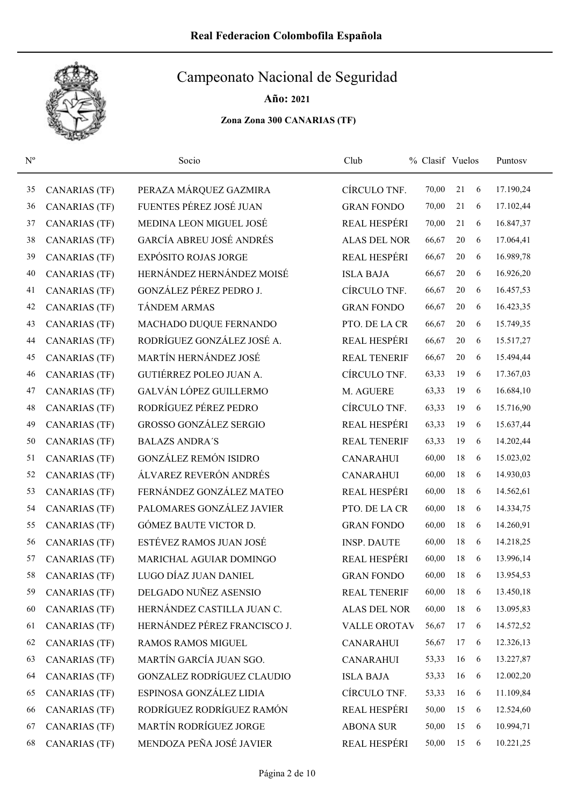

Año: 2021

| $\mathbf{N}^{\text{o}}$ |                      | Socio                           | Club                | % Clasif Vuelos |        |   | Puntosv   |
|-------------------------|----------------------|---------------------------------|---------------------|-----------------|--------|---|-----------|
| 35                      | <b>CANARIAS (TF)</b> | PERAZA MÁRQUEZ GAZMIRA          | CÍRCULO TNF.        | 70,00           | 21     | 6 | 17.190,24 |
| 36                      | <b>CANARIAS (TF)</b> | FUENTES PÉREZ JOSÉ JUAN         | <b>GRAN FONDO</b>   | 70,00           | 21     | 6 | 17.102,44 |
| 37                      | <b>CANARIAS (TF)</b> | MEDINA LEON MIGUEL JOSÉ         | REAL HESPÉRI        | 70,00           | 21     | 6 | 16.847,37 |
| 38                      | <b>CANARIAS (TF)</b> | <b>GARCÍA ABREU JOSÉ ANDRÉS</b> | <b>ALAS DEL NOR</b> | 66,67           | $20\,$ | 6 | 17.064,41 |
| 39                      | <b>CANARIAS (TF)</b> | <b>EXPÓSITO ROJAS JORGE</b>     | REAL HESPÉRI        | 66,67           | 20     | 6 | 16.989,78 |
| 40                      | <b>CANARIAS (TF)</b> | HERNÁNDEZ HERNÁNDEZ MOISÉ       | <b>ISLA BAJA</b>    | 66,67           | 20     | 6 | 16.926,20 |
| 41                      | <b>CANARIAS (TF)</b> | GONZÁLEZ PÉREZ PEDRO J.         | CÍRCULO TNF.        | 66,67           | 20     | 6 | 16.457,53 |
| 42                      | <b>CANARIAS (TF)</b> | TÁNDEM ARMAS                    | <b>GRAN FONDO</b>   | 66,67           | $20\,$ | 6 | 16.423,35 |
| 43                      | <b>CANARIAS (TF)</b> | MACHADO DUQUE FERNANDO          | PTO. DE LA CR       | 66,67           | $20\,$ | 6 | 15.749,35 |
| 44                      | <b>CANARIAS (TF)</b> | RODRÍGUEZ GONZÁLEZ JOSÉ A.      | <b>REAL HESPÉRI</b> | 66,67           | $20\,$ | 6 | 15.517,27 |
| 45                      | CANARIAS (TF)        | MARTÍN HERNÁNDEZ JOSÉ           | <b>REAL TENERIF</b> | 66,67           | 20     | 6 | 15.494,44 |
| 46                      | <b>CANARIAS (TF)</b> | GUTIÉRREZ POLEO JUAN A.         | CÍRCULO TNF.        | 63,33           | 19     | 6 | 17.367,03 |
| 47                      | <b>CANARIAS (TF)</b> | GALVÁN LÓPEZ GUILLERMO          | M. AGUERE           | 63,33           | 19     | 6 | 16.684,10 |
| 48                      | <b>CANARIAS (TF)</b> | RODRÍGUEZ PÉREZ PEDRO           | CÍRCULO TNF.        | 63,33           | 19     | 6 | 15.716,90 |
| 49                      | CANARIAS (TF)        | <b>GROSSO GONZÁLEZ SERGIO</b>   | <b>REAL HESPÉRI</b> | 63,33           | 19     | 6 | 15.637,44 |
| 50                      | <b>CANARIAS (TF)</b> | <b>BALAZS ANDRA'S</b>           | <b>REAL TENERIF</b> | 63,33           | 19     | 6 | 14.202,44 |
| 51                      | <b>CANARIAS (TF)</b> | <b>GONZÁLEZ REMÓN ISIDRO</b>    | <b>CANARAHUI</b>    | 60,00           | 18     | 6 | 15.023,02 |
| 52                      | <b>CANARIAS (TF)</b> | ÁLVAREZ REVERÓN ANDRÉS          | <b>CANARAHUI</b>    | 60,00           | $18\,$ | 6 | 14.930,03 |
| 53                      | <b>CANARIAS (TF)</b> | FERNÁNDEZ GONZÁLEZ MATEO        | REAL HESPÉRI        | 60,00           | $18\,$ | 6 | 14.562,61 |
| 54                      | <b>CANARIAS (TF)</b> | PALOMARES GONZÁLEZ JAVIER       | PTO. DE LA CR       | 60,00           | $18\,$ | 6 | 14.334,75 |
| 55                      | <b>CANARIAS (TF)</b> | GÓMEZ BAUTE VICTOR D.           | <b>GRAN FONDO</b>   | 60,00           | $18\,$ | 6 | 14.260,91 |
| 56                      | <b>CANARIAS (TF)</b> | ESTÉVEZ RAMOS JUAN JOSÉ         | <b>INSP. DAUTE</b>  | 60,00           | $18\,$ | 6 | 14.218,25 |
| 57                      | <b>CANARIAS (TF)</b> | MARICHAL AGUIAR DOMINGO         | <b>REAL HESPÉRI</b> | 60,00           | 18     | 6 | 13.996,14 |
| 58                      | <b>CANARIAS</b> (TF) | LUGO DÍAZ JUAN DANIEL           | <b>GRAN FONDO</b>   | 60,00           | $18\,$ | 6 | 13.954,53 |
| 59                      | <b>CANARIAS (TF)</b> | DELGADO NUÑEZ ASENSIO           | <b>REAL TENERIF</b> | 60,00           | 18     | 6 | 13.450,18 |
| 60                      | <b>CANARIAS (TF)</b> | HERNÁNDEZ CASTILLA JUAN C.      | ALAS DEL NOR        | 60,00           | $18\,$ | 6 | 13.095,83 |
| 61                      | <b>CANARIAS (TF)</b> | HERNÁNDEZ PÉREZ FRANCISCO J.    | VALLE OROTAV        | 56,67           | 17     | 6 | 14.572,52 |
| 62                      | <b>CANARIAS (TF)</b> | <b>RAMOS RAMOS MIGUEL</b>       | <b>CANARAHUI</b>    | 56,67           | 17     | 6 | 12.326,13 |
| 63                      | <b>CANARIAS (TF)</b> | MARTÍN GARCÍA JUAN SGO.         | <b>CANARAHUI</b>    | 53,33           | 16     | 6 | 13.227,87 |
| 64                      | <b>CANARIAS (TF)</b> | GONZALEZ RODRÍGUEZ CLAUDIO      | <b>ISLA BAJA</b>    | 53,33           | 16     | 6 | 12.002,20 |
| 65                      | <b>CANARIAS (TF)</b> | ESPINOSA GONZÁLEZ LIDIA         | CÍRCULO TNF.        | 53,33           | 16     | 6 | 11.109,84 |
| 66                      | <b>CANARIAS (TF)</b> | RODRÍGUEZ RODRÍGUEZ RAMÓN       | REAL HESPÉRI        | 50,00           | 15     | 6 | 12.524,60 |
| 67                      | <b>CANARIAS (TF)</b> | MARTÍN RODRÍGUEZ JORGE          | <b>ABONA SUR</b>    | 50,00           | 15     | 6 | 10.994,71 |
| 68                      | <b>CANARIAS (TF)</b> | MENDOZA PEÑA JOSÉ JAVIER        | REAL HESPÉRI        | 50,00           | 15     | 6 | 10.221,25 |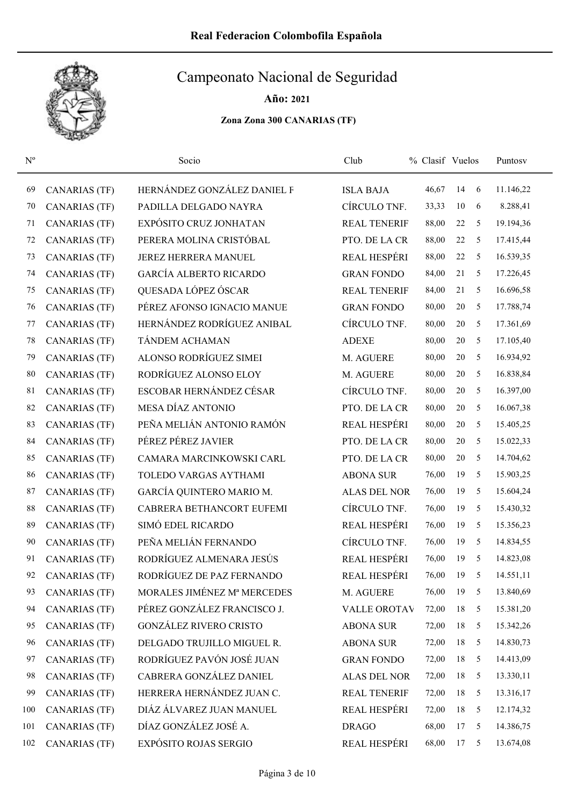

Año: 2021

| $\mathbf{N}^{\text{o}}$ |                      | Socio                         | Club                | % Clasif Vuelos |        |   | Puntosy   |
|-------------------------|----------------------|-------------------------------|---------------------|-----------------|--------|---|-----------|
| 69                      | CANARIAS (TF)        | HERNÁNDEZ GONZÁLEZ DANIEL F   | <b>ISLA BAJA</b>    | 46,67           | 14     | 6 | 11.146,22 |
| 70                      | <b>CANARIAS (TF)</b> | PADILLA DELGADO NAYRA         | CÍRCULO TNF.        | 33,33           | 10     | 6 | 8.288,41  |
| 71                      | <b>CANARIAS (TF)</b> | EXPÓSITO CRUZ JONHATAN        | <b>REAL TENERIF</b> | 88,00           | $22\,$ | 5 | 19.194,36 |
| 72                      | <b>CANARIAS (TF)</b> | PERERA MOLINA CRISTÓBAL       | PTO. DE LA CR       | 88,00           | 22     | 5 | 17.415,44 |
| 73                      | <b>CANARIAS</b> (TF) | JEREZ HERRERA MANUEL          | REAL HESPÉRI        | 88,00           | 22     | 5 | 16.539,35 |
| 74                      | CANARIAS (TF)        | <b>GARCÍA ALBERTO RICARDO</b> | <b>GRAN FONDO</b>   | 84,00           | 21     | 5 | 17.226,45 |
| 75                      | <b>CANARIAS (TF)</b> | QUESADA LÓPEZ ÓSCAR           | <b>REAL TENERIF</b> | 84,00           | 21     | 5 | 16.696,58 |
| 76                      | CANARIAS (TF)        | PÉREZ AFONSO IGNACIO MANUE    | <b>GRAN FONDO</b>   | 80,00           | 20     | 5 | 17.788,74 |
| 77                      | CANARIAS (TF)        | HERNÁNDEZ RODRÍGUEZ ANIBAL    | CÍRCULO TNF.        | 80,00           | 20     | 5 | 17.361,69 |
| 78                      | <b>CANARIAS</b> (TF) | TÁNDEM ACHAMAN                | <b>ADEXE</b>        | 80,00           | 20     | 5 | 17.105,40 |
| 79                      | CANARIAS (TF)        | ALONSO RODRÍGUEZ SIMEI        | M. AGUERE           | 80,00           | 20     | 5 | 16.934,92 |
| 80                      | CANARIAS (TF)        | RODRÍGUEZ ALONSO ELOY         | M. AGUERE           | 80,00           | 20     | 5 | 16.838,84 |
| 81                      | <b>CANARIAS (TF)</b> | ESCOBAR HERNÁNDEZ CÉSAR       | CÍRCULO TNF.        | 80,00           | $20\,$ | 5 | 16.397,00 |
| 82                      | CANARIAS (TF)        | MESA DÍAZ ANTONIO             | PTO. DE LA CR       | 80,00           | 20     | 5 | 16.067,38 |
| 83                      | CANARIAS (TF)        | PEÑA MELIÁN ANTONIO RAMÓN     | <b>REAL HESPÉRI</b> | 80,00           | 20     | 5 | 15.405,25 |
| 84                      | <b>CANARIAS (TF)</b> | PÉREZ PÉREZ JAVIER            | PTO. DE LA CR       | 80,00           | $20\,$ | 5 | 15.022,33 |
| 85                      | <b>CANARIAS (TF)</b> | CAMARA MARCINKOWSKI CARL      | PTO. DE LA CR       | 80,00           | 20     | 5 | 14.704,62 |
| 86                      | <b>CANARIAS (TF)</b> | TOLEDO VARGAS AYTHAMI         | <b>ABONA SUR</b>    | 76,00           | 19     | 5 | 15.903,25 |
| 87                      | <b>CANARIAS (TF)</b> | GARCÍA QUINTERO MARIO M.      | <b>ALAS DEL NOR</b> | 76,00           | 19     | 5 | 15.604,24 |
| 88                      | <b>CANARIAS</b> (TF) | CABRERA BETHANCORT EUFEMI     | CÍRCULO TNF.        | 76,00           | 19     | 5 | 15.430,32 |
| 89                      | <b>CANARIAS</b> (TF) | SIMÓ EDEL RICARDO             | REAL HESPÉRI        | 76,00           | 19     | 5 | 15.356,23 |
| 90                      | CANARIAS (TF)        | PEÑA MELIÁN FERNANDO          | CÍRCULO TNF.        | 76,00           | 19     | 5 | 14.834,55 |
| 91                      | <b>CANARIAS</b> (TF) | RODRÍGUEZ ALMENARA JESÚS      | REAL HESPÉRI        | 76,00           | 19     | 5 | 14.823,08 |
| 92                      | <b>CANARIAS</b> (TF) | RODRÍGUEZ DE PAZ FERNANDO     | REAL HESPÉRI        | 76,00           | 19     | 5 | 14.551,11 |
| 93                      | <b>CANARIAS</b> (TF) | MORALES JIMÉNEZ Mª MERCEDES   | M. AGUERE           | 76,00           | 19     | 5 | 13.840,69 |
| 94                      | CANARIAS (TF)        | PÉREZ GONZÁLEZ FRANCISCO J.   | VALLE OROTAV        | 72,00           | 18     | 5 | 15.381,20 |
| 95                      | <b>CANARIAS (TF)</b> | <b>GONZÁLEZ RIVERO CRISTO</b> | <b>ABONA SUR</b>    | 72,00           | 18     | 5 | 15.342,26 |
| 96                      | <b>CANARIAS (TF)</b> | DELGADO TRUJILLO MIGUEL R.    | <b>ABONA SUR</b>    | 72,00           | 18     | 5 | 14.830,73 |
| 97                      | <b>CANARIAS (TF)</b> | RODRÍGUEZ PAVÓN JOSÉ JUAN     | <b>GRAN FONDO</b>   | 72,00           | 18     | 5 | 14.413,09 |
| 98                      | <b>CANARIAS (TF)</b> | CABRERA GONZÁLEZ DANIEL       | ALAS DEL NOR        | 72,00           | 18     | 5 | 13.330,11 |
| 99                      | <b>CANARIAS (TF)</b> | HERRERA HERNÁNDEZ JUAN C.     | <b>REAL TENERIF</b> | 72,00           | 18     | 5 | 13.316,17 |
| 100                     | <b>CANARIAS (TF)</b> | DIÁZ ÁLVAREZ JUAN MANUEL      | <b>REAL HESPÉRI</b> | 72,00           | $18\,$ | 5 | 12.174,32 |
| 101                     | <b>CANARIAS (TF)</b> | DÍAZ GONZÁLEZ JOSÉ A.         | <b>DRAGO</b>        | 68,00           | 17     | 5 | 14.386,75 |
| 102                     | <b>CANARIAS (TF)</b> | EXPÓSITO ROJAS SERGIO         | REAL HESPÉRI        | 68,00           | 17     | 5 | 13.674,08 |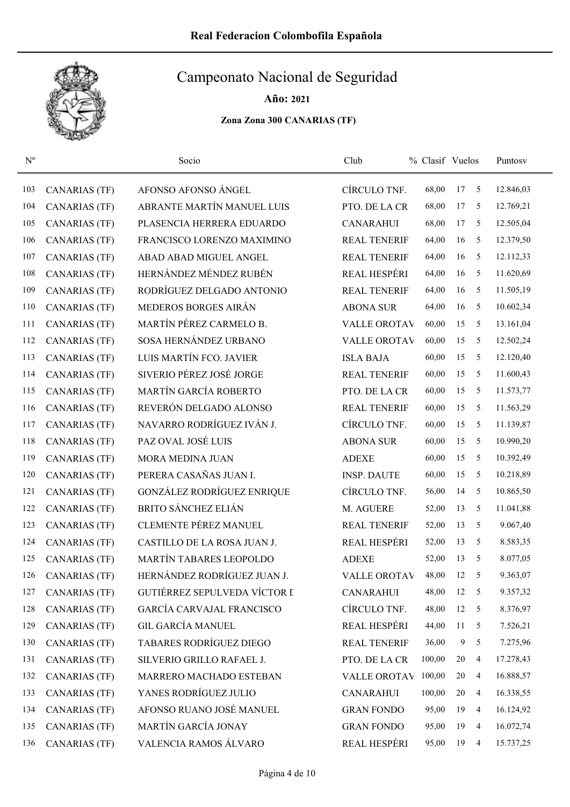

Año: 2021

| $\mathbf{N}^{\mathrm{o}}$ |                      | Socio                            | Club                | % Clasif Vuelos |    |                         | Puntosv   |
|---------------------------|----------------------|----------------------------------|---------------------|-----------------|----|-------------------------|-----------|
| 103                       | <b>CANARIAS (TF)</b> | AFONSO AFONSO ÁNGEL              | CÍRCULO TNF.        | 68,00           | 17 | 5                       | 12.846,03 |
| 104                       | <b>CANARIAS</b> (TF) | ABRANTE MARTÍN MANUEL LUIS       | PTO. DE LA CR       | 68,00           | 17 | 5                       | 12.769,21 |
| 105                       | <b>CANARIAS (TF)</b> | PLASENCIA HERRERA EDUARDO        | <b>CANARAHUI</b>    | 68,00           | 17 | 5                       | 12.505,04 |
| 106                       | <b>CANARIAS (TF)</b> | FRANCISCO LORENZO MAXIMINO       | <b>REAL TENERIF</b> | 64,00           | 16 | 5                       | 12.379,50 |
| 107                       | <b>CANARIAS (TF)</b> | ABAD ABAD MIGUEL ANGEL           | <b>REAL TENERIF</b> | 64,00           | 16 | 5                       | 12.112,33 |
| 108                       | <b>CANARIAS</b> (TF) | HERNÁNDEZ MÉNDEZ RUBÉN           | REAL HESPÉRI        | 64,00           | 16 | 5                       | 11.620,69 |
| 109                       | <b>CANARIAS (TF)</b> | RODRÍGUEZ DELGADO ANTONIO        | <b>REAL TENERIF</b> | 64,00           | 16 | 5                       | 11.505,19 |
| 110                       | <b>CANARIAS</b> (TF) | MEDEROS BORGES AIRÁN             | <b>ABONA SUR</b>    | 64,00           | 16 | 5                       | 10.602,34 |
| 111                       | <b>CANARIAS (TF)</b> | MARTÍN PÉREZ CARMELO B.          | <b>VALLE OROTAV</b> | 60,00           | 15 | 5                       | 13.161,04 |
| 112                       | <b>CANARIAS (TF)</b> | SOSA HERNÁNDEZ URBANO            | <b>VALLE OROTAV</b> | 60,00           | 15 | 5                       | 12.502,24 |
| 113                       | CANARIAS (TF)        | LUIS MARTÍN FCO. JAVIER          | <b>ISLA BAJA</b>    | 60,00           | 15 | 5                       | 12.120,40 |
| 114                       | <b>CANARIAS (TF)</b> | SIVERIO PÉREZ JOSÉ JORGE         | <b>REAL TENERIF</b> | 60,00           | 15 | 5                       | 11.600,43 |
| 115                       | <b>CANARIAS (TF)</b> | MARTÍN GARCÍA ROBERTO            | PTO. DE LA CR       | 60,00           | 15 | 5                       | 11.573,77 |
| 116                       | CANARIAS (TF)        | REVERÓN DELGADO ALONSO           | <b>REAL TENERIF</b> | 60,00           | 15 | 5                       | 11.563,29 |
| 117                       | <b>CANARIAS</b> (TF) | NAVARRO RODRÍGUEZ IVÁN J.        | CÍRCULO TNF.        | 60,00           | 15 | 5                       | 11.139,87 |
| 118                       | <b>CANARIAS (TF)</b> | PAZ OVAL JOSÉ LUIS               | <b>ABONA SUR</b>    | 60,00           | 15 | 5                       | 10.990,20 |
| 119                       | <b>CANARIAS (TF)</b> | MORA MEDINA JUAN                 | <b>ADEXE</b>        | 60,00           | 15 | 5                       | 10.392,49 |
| 120                       | <b>CANARIAS (TF)</b> | PERERA CASAÑAS JUAN I.           | <b>INSP. DAUTE</b>  | 60,00           | 15 | 5                       | 10.218,89 |
| 121                       | <b>CANARIAS (TF)</b> | GONZÁLEZ RODRÍGUEZ ENRIQUE       | CÍRCULO TNF.        | 56,00           | 14 | 5                       | 10.865,50 |
| 122                       | <b>CANARIAS (TF)</b> | <b>BRITO SÁNCHEZ ELIÁN</b>       | M. AGUERE           | 52,00           | 13 | 5                       | 11.041,88 |
| 123                       | <b>CANARIAS (TF)</b> | <b>CLEMENTE PÉREZ MANUEL</b>     | <b>REAL TENERIF</b> | 52,00           | 13 | 5                       | 9.067,40  |
| 124                       | <b>CANARIAS (TF)</b> | CASTILLO DE LA ROSA JUAN J.      | <b>REAL HESPÉRI</b> | 52,00           | 13 | 5                       | 8.583,35  |
| 125                       | <b>CANARIAS (TF)</b> | MARTÍN TABARES LEOPOLDO          | <b>ADEXE</b>        | 52,00           | 13 | 5                       | 8.077,05  |
| 126                       | <b>CANARIAS (TF)</b> | HERNÁNDEZ RODRÍGUEZ JUAN J.      | <b>VALLE OROTAV</b> | 48,00           | 12 | 5                       | 9.363,07  |
| 127                       | <b>CANARIAS (TF)</b> | GUTIÉRREZ SEPULVEDA VÍCTOR I     | <b>CANARAHUI</b>    | 48,00           | 12 | $\overline{\mathbf{5}}$ | 9.357,32  |
| 128                       | <b>CANARIAS (TF)</b> | <b>GARCÍA CARVAJAL FRANCISCO</b> | CÍRCULO TNF.        | 48,00           | 12 | 5                       | 8.376,97  |
| 129                       | <b>CANARIAS (TF)</b> | <b>GIL GARCÍA MANUEL</b>         | REAL HESPÉRI        | 44,00           | 11 | 5                       | 7.526,21  |
| 130                       | <b>CANARIAS (TF)</b> | TABARES RODRÍGUEZ DIEGO          | <b>REAL TENERIF</b> | 36,00           | 9  | 5                       | 7.275,96  |
| 131                       | <b>CANARIAS (TF)</b> | SILVERIO GRILLO RAFAEL J.        | PTO. DE LA CR       | 100,00          | 20 | $\overline{4}$          | 17.278,43 |
| 132                       | <b>CANARIAS (TF)</b> | MARRERO MACHADO ESTEBAN          | <b>VALLE OROTAV</b> | 100,00          | 20 | $\overline{4}$          | 16.888,57 |
| 133                       | <b>CANARIAS (TF)</b> | YANES RODRÍGUEZ JULIO            | <b>CANARAHUI</b>    | 100,00          | 20 | 4                       | 16.338,55 |
| 134                       | <b>CANARIAS (TF)</b> | AFONSO RUANO JOSÉ MANUEL         | <b>GRAN FONDO</b>   | 95,00           | 19 | $\overline{4}$          | 16.124,92 |
| 135                       | <b>CANARIAS (TF)</b> | MARTÍN GARCÍA JONAY              | <b>GRAN FONDO</b>   | 95,00           | 19 | $\overline{4}$          | 16.072,74 |
| 136                       | <b>CANARIAS (TF)</b> | VALENCIA RAMOS ÁLVARO            | REAL HESPÉRI        | 95,00           | 19 | $\overline{4}$          | 15.737,25 |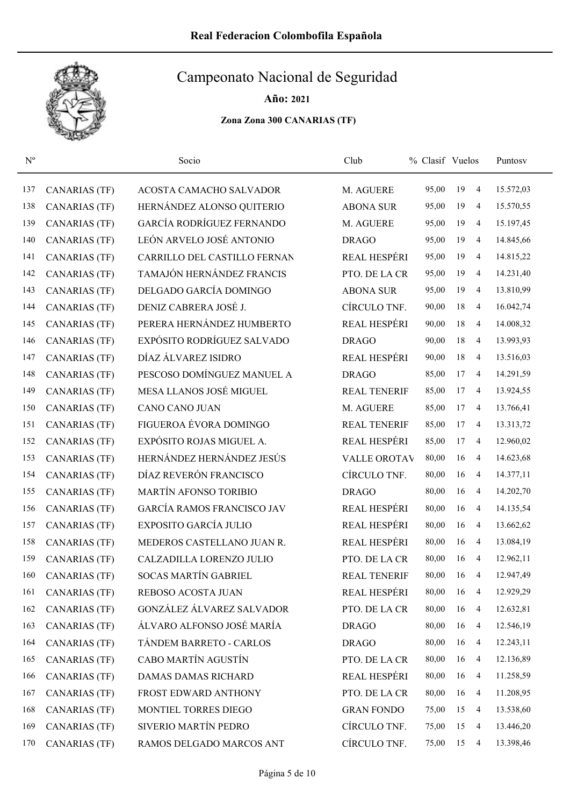

| $N^{\rm o}$ |                      | Socio                             | Club                | % Clasif Vuelos |    |                | Puntosy   |
|-------------|----------------------|-----------------------------------|---------------------|-----------------|----|----------------|-----------|
| 137         | <b>CANARIAS (TF)</b> | ACOSTA CAMACHO SALVADOR           | M. AGUERE           | 95,00           | 19 | 4              | 15.572,03 |
| 138         | <b>CANARIAS (TF)</b> | HERNÁNDEZ ALONSO QUITERIO         | <b>ABONA SUR</b>    | 95,00           | 19 | $\overline{4}$ | 15.570,55 |
| 139         | <b>CANARIAS (TF)</b> | GARCÍA RODRÍGUEZ FERNANDO         | M. AGUERE           | 95,00           | 19 | 4              | 15.197,45 |
| 140         | <b>CANARIAS</b> (TF) | LEÓN ARVELO JOSÉ ANTONIO          | <b>DRAGO</b>        | 95,00           | 19 | $\overline{4}$ | 14.845,66 |
| 141         | <b>CANARIAS (TF)</b> | CARRILLO DEL CASTILLO FERNAN      | <b>REAL HESPÉRI</b> | 95,00           | 19 | 4              | 14.815,22 |
| 142         | <b>CANARIAS (TF)</b> | TAMAJÓN HERNÁNDEZ FRANCIS         | PTO. DE LA CR       | 95,00           | 19 | 4              | 14.231,40 |
| 143         | <b>CANARIAS (TF)</b> | DELGADO GARCÍA DOMINGO            | <b>ABONA SUR</b>    | 95,00           | 19 | $\overline{4}$ | 13.810,99 |
| 144         | <b>CANARIAS (TF)</b> | DENIZ CABRERA JOSÉ J.             | CÍRCULO TNF.        | 90,00           | 18 | 4              | 16.042,74 |
| 145         | <b>CANARIAS (TF)</b> | PERERA HERNÁNDEZ HUMBERTO         | REAL HESPÉRI        | 90,00           | 18 | 4              | 14.008,32 |
| 146         | <b>CANARIAS (TF)</b> | EXPÓSITO RODRÍGUEZ SALVADO        | <b>DRAGO</b>        | 90,00           | 18 | 4              | 13.993,93 |
| 147         | <b>CANARIAS (TF)</b> | DÍAZ ÁLVAREZ ISIDRO               | <b>REAL HESPÉRI</b> | 90,00           | 18 | 4              | 13.516,03 |
| 148         | <b>CANARIAS (TF)</b> | PESCOSO DOMÍNGUEZ MANUEL A        | <b>DRAGO</b>        | 85,00           | 17 | 4              | 14.291,59 |
| 149         | CANARIAS (TF)        | MESA LLANOS JOSÉ MIGUEL           | <b>REAL TENERIF</b> | 85,00           | 17 | 4              | 13.924,55 |
| 150         | <b>CANARIAS (TF)</b> | <b>CANO CANO JUAN</b>             | M. AGUERE           | 85,00           | 17 | 4              | 13.766,41 |
| 151         | <b>CANARIAS (TF)</b> | FIGUEROA ÉVORA DOMINGO            | <b>REAL TENERIF</b> | 85,00           | 17 | $\overline{4}$ | 13.313,72 |
| 152         | <b>CANARIAS (TF)</b> | EXPÓSITO ROJAS MIGUEL A.          | REAL HESPÉRI        | 85,00           | 17 | $\overline{4}$ | 12.960,02 |
| 153         | <b>CANARIAS</b> (TF) | HERNÁNDEZ HERNÁNDEZ JESÚS         | <b>VALLE OROTAV</b> | 80,00           | 16 | $\overline{4}$ | 14.623,68 |
| 154         | <b>CANARIAS (TF)</b> | DÍAZ REVERÓN FRANCISCO            | CÍRCULO TNF.        | 80,00           | 16 | 4              | 14.377,11 |
| 155         | <b>CANARIAS (TF)</b> | MARTÍN AFONSO TORIBIO             | <b>DRAGO</b>        | 80,00           | 16 | 4              | 14.202,70 |
| 156         | <b>CANARIAS (TF)</b> | <b>GARCÍA RAMOS FRANCISCO JAV</b> | REAL HESPÉRI        | 80,00           | 16 | 4              | 14.135,54 |
| 157         | <b>CANARIAS (TF)</b> | EXPOSITO GARCÍA JULIO             | REAL HESPÉRI        | 80,00           | 16 | 4              | 13.662,62 |
| 158         | <b>CANARIAS (TF)</b> | MEDEROS CASTELLANO JUAN R.        | <b>REAL HESPÉRI</b> | 80,00           | 16 | 4              | 13.084,19 |
| 159         | <b>CANARIAS (TF)</b> | CALZADILLA LORENZO JULIO          | PTO. DE LA CR       | 80,00           | 16 | $\overline{4}$ | 12.962,11 |
| 160         | CANARIAS (TF)        | SOCAS MARTÍN GABRIEL              | <b>REAL TENERIF</b> | 80,00           | 16 | 4              | 12.947,49 |
| 161         | <b>CANARIAS (TF)</b> | REBOSO ACOSTA JUAN                | REAL HESPÉRI        | 80,00           | 16 | $\overline{4}$ | 12.929,29 |
| 162         | <b>CANARIAS (TF)</b> | GONZÁLEZ ÁLVAREZ SALVADOR         | PTO. DE LA CR       | 80,00           | 16 | $\overline{4}$ | 12.632,81 |
| 163         | CANARIAS (TF)        | ÁLVARO ALFONSO JOSÉ MARÍA         | <b>DRAGO</b>        | 80,00           | 16 | $\overline{4}$ | 12.546,19 |
| 164         | <b>CANARIAS (TF)</b> | TÁNDEM BARRETO - CARLOS           | <b>DRAGO</b>        | 80,00           | 16 | $\overline{4}$ | 12.243,11 |
| 165         | <b>CANARIAS (TF)</b> | CABO MARTÍN AGUSTÍN               | PTO. DE LA CR       | 80,00           | 16 | $\overline{4}$ | 12.136,89 |
| 166         | <b>CANARIAS (TF)</b> | <b>DAMAS DAMAS RICHARD</b>        | REAL HESPÉRI        | 80,00           | 16 | $\overline{4}$ | 11.258,59 |
| 167         | <b>CANARIAS (TF)</b> | FROST EDWARD ANTHONY              | PTO. DE LA CR       | 80,00           | 16 | $\overline{4}$ | 11.208,95 |
| 168         | <b>CANARIAS (TF)</b> | MONTIEL TORRES DIEGO              | <b>GRAN FONDO</b>   | 75,00           | 15 | 4              | 13.538,60 |
| 169         | <b>CANARIAS (TF)</b> | SIVERIO MARTÍN PEDRO              | CÍRCULO TNF.        | 75,00           | 15 | $\overline{4}$ | 13.446,20 |
| 170         | <b>CANARIAS (TF)</b> | RAMOS DELGADO MARCOS ANT          | CÍRCULO TNF.        | 75,00           | 15 | $\overline{4}$ | 13.398,46 |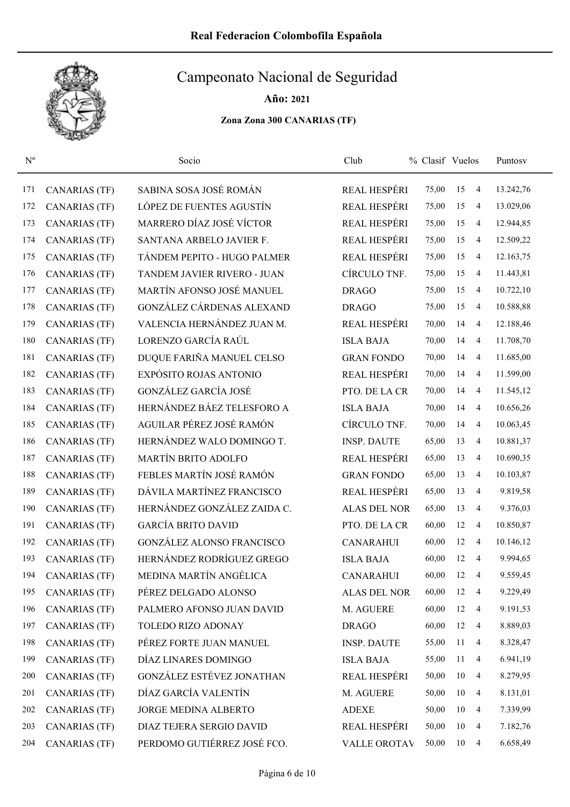

Año: 2021

| $N^{o}$ |                      | Socio                            | Club                | % Clasif Vuelos |    |                | Puntosy   |
|---------|----------------------|----------------------------------|---------------------|-----------------|----|----------------|-----------|
| 171     | <b>CANARIAS (TF)</b> | SABINA SOSA JOSÉ ROMÁN           | REAL HESPÉRI        | 75,00           | 15 | 4              | 13.242,76 |
| 172     | <b>CANARIAS (TF)</b> | LÓPEZ DE FUENTES AGUSTÍN         | <b>REAL HESPÉRI</b> | 75,00           | 15 | $\overline{4}$ | 13.029,06 |
| 173     | <b>CANARIAS (TF)</b> | MARRERO DÍAZ JOSÉ VÍCTOR         | <b>REAL HESPÉRI</b> | 75,00           | 15 | 4              | 12.944,85 |
| 174     | <b>CANARIAS (TF)</b> | SANTANA ARBELO JAVIER F.         | REAL HESPÉRI        | 75,00           | 15 | $\overline{4}$ | 12.509,22 |
| 175     | <b>CANARIAS (TF)</b> | TÁNDEM PEPITO - HUGO PALMER      | REAL HESPÉRI        | 75,00           | 15 | $\overline{4}$ | 12.163,75 |
| 176     | CANARIAS (TF)        | TANDEM JAVIER RIVERO - JUAN      | CÍRCULO TNF.        | 75,00           | 15 | 4              | 11.443,81 |
| 177     | <b>CANARIAS (TF)</b> | MARTÍN AFONSO JOSÉ MANUEL        | <b>DRAGO</b>        | 75,00           | 15 | 4              | 10.722,10 |
| 178     | <b>CANARIAS (TF)</b> | GONZÁLEZ CÁRDENAS ALEXAND        | <b>DRAGO</b>        | 75,00           | 15 | $\overline{4}$ | 10.588,88 |
| 179     | <b>CANARIAS (TF)</b> | VALENCIA HERNÁNDEZ JUAN M.       | <b>REAL HESPÉRI</b> | 70,00           | 14 | 4              | 12.188,46 |
| 180     | <b>CANARIAS (TF)</b> | LORENZO GARCÍA RAÚL              | <b>ISLA BAJA</b>    | 70,00           | 14 | 4              | 11.708,70 |
| 181     | <b>CANARIAS (TF)</b> | DUQUE FARIÑA MANUEL CELSO        | <b>GRAN FONDO</b>   | 70,00           | 14 | $\overline{4}$ | 11.685,00 |
| 182     | <b>CANARIAS (TF)</b> | EXPÓSITO ROJAS ANTONIO           | <b>REAL HESPÉRI</b> | 70,00           | 14 | 4              | 11.599,00 |
| 183     | <b>CANARIAS (TF)</b> | GONZÁLEZ GARCÍA JOSÉ             | PTO. DE LA CR       | 70,00           | 14 | 4              | 11.545,12 |
| 184     | <b>CANARIAS (TF)</b> | HERNÁNDEZ BÁEZ TELESFORO A       | <b>ISLA BAJA</b>    | 70,00           | 14 | 4              | 10.656,26 |
| 185     | <b>CANARIAS (TF)</b> | AGUILAR PÉREZ JOSÉ RAMÓN         | CÍRCULO TNF.        | 70,00           | 14 | 4              | 10.063,45 |
| 186     | <b>CANARIAS (TF)</b> | HERNÁNDEZ WALO DOMINGO T.        | <b>INSP. DAUTE</b>  | 65,00           | 13 | 4              | 10.881,37 |
| 187     | <b>CANARIAS (TF)</b> | <b>MARTÍN BRITO ADOLFO</b>       | <b>REAL HESPÉRI</b> | 65,00           | 13 | 4              | 10.690,35 |
| 188     | <b>CANARIAS (TF)</b> | FEBLES MARTÍN JOSÉ RAMÓN         | <b>GRAN FONDO</b>   | 65,00           | 13 | 4              | 10.103,87 |
| 189     | <b>CANARIAS (TF)</b> | DÁVILA MARTÍNEZ FRANCISCO        | <b>REAL HESPÉRI</b> | 65,00           | 13 | $\overline{4}$ | 9.819,58  |
| 190     | <b>CANARIAS (TF)</b> | HERNÁNDEZ GONZÁLEZ ZAIDA C.      | <b>ALAS DEL NOR</b> | 65,00           | 13 | $\overline{4}$ | 9.376,03  |
| 191     | <b>CANARIAS (TF)</b> | <b>GARCÍA BRITO DAVID</b>        | PTO. DE LA CR       | 60,00           | 12 | 4              | 10.850,87 |
| 192     | CANARIAS (TF)        | <b>GONZÁLEZ ALONSO FRANCISCO</b> | <b>CANARAHUI</b>    | 60,00           | 12 | 4              | 10.146,12 |
| 193     | <b>CANARIAS (TF)</b> | HERNÁNDEZ RODRÍGUEZ GREGO        | <b>ISLA BAJA</b>    | 60,00           | 12 | 4              | 9.994,65  |
| 194     | <b>CANARIAS</b> (TF) | MEDINA MARTÍN ANGÉLICA           | <b>CANARAHUI</b>    | 60,00           | 12 | 4              | 9.559,45  |
| 195     | <b>CANARIAS (TF)</b> | PÉREZ DELGADO ALONSO             | <b>ALAS DEL NOR</b> | 60,00           | 12 | 4              | 9.229,49  |
| 196     | <b>CANARIAS (TF)</b> | PALMERO AFONSO JUAN DAVID        | M. AGUERE           | 60,00           | 12 | $\overline{4}$ | 9.191,53  |
| 197     | CANARIAS (TF)        | TOLEDO RIZO ADONAY               | <b>DRAGO</b>        | 60,00           | 12 | $\overline{4}$ | 8.889,03  |
| 198     | <b>CANARIAS (TF)</b> | PÉREZ FORTE JUAN MANUEL          | <b>INSP. DAUTE</b>  | 55,00           | 11 | $\overline{4}$ | 8.328,47  |
| 199     | <b>CANARIAS (TF)</b> | DÍAZ LINARES DOMINGO             | <b>ISLA BAJA</b>    | 55,00           | 11 | $\overline{4}$ | 6.941,19  |
| 200     | <b>CANARIAS (TF)</b> | GONZÁLEZ ESTÉVEZ JONATHAN        | REAL HESPÉRI        | 50,00           | 10 | $\overline{4}$ | 8.279,95  |
| 201     | <b>CANARIAS (TF)</b> | DÍAZ GARCÍA VALENTÍN             | M. AGUERE           | 50,00           | 10 | $\overline{4}$ | 8.131,01  |
| 202     | <b>CANARIAS (TF)</b> | JORGE MEDINA ALBERTO             | <b>ADEXE</b>        | 50,00           | 10 | 4              | 7.339,99  |
| 203     | <b>CANARIAS (TF)</b> | DIAZ TEJERA SERGIO DAVID         | REAL HESPÉRI        | 50,00           | 10 | 4              | 7.182,76  |
| 204     | <b>CANARIAS (TF)</b> | PERDOMO GUTIÉRREZ JOSÉ FCO.      | VALLE OROTAV        | 50,00           | 10 | $\overline{4}$ | 6.658,49  |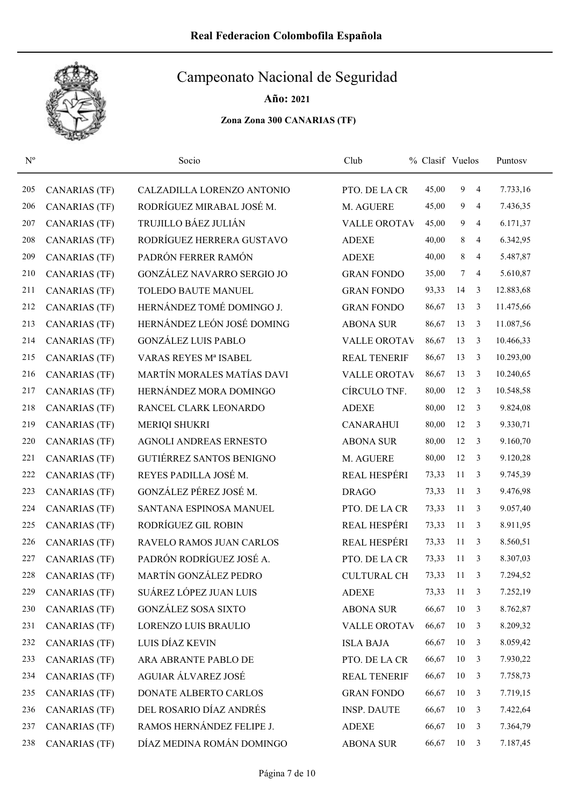

| $N^{o}$ |                      | Socio                           | Club                | % Clasif Vuelos |              |                | Puntosv   |  |
|---------|----------------------|---------------------------------|---------------------|-----------------|--------------|----------------|-----------|--|
| 205     | <b>CANARIAS (TF)</b> | CALZADILLA LORENZO ANTONIO      | PTO. DE LA CR       | 45,00           | 9            | $\overline{4}$ | 7.733,16  |  |
| 206     | <b>CANARIAS (TF)</b> | RODRÍGUEZ MIRABAL JOSÉ M.       | M. AGUERE           | 45,00           | 9            | $\overline{4}$ | 7.436,35  |  |
| 207     | <b>CANARIAS (TF)</b> | TRUJILLO BÁEZ JULIÁN            | <b>VALLE OROTAV</b> | 45,00           | 9            | 4              | 6.171,37  |  |
| 208     | <b>CANARIAS (TF)</b> | RODRÍGUEZ HERRERA GUSTAVO       | <b>ADEXE</b>        | 40,00           | 8            | 4              | 6.342,95  |  |
| 209     | <b>CANARIAS (TF)</b> | PADRÓN FERRER RAMÓN             | <b>ADEXE</b>        | 40,00           | 8            | 4              | 5.487,87  |  |
| 210     | <b>CANARIAS (TF)</b> | GONZÁLEZ NAVARRO SERGIO JO      | <b>GRAN FONDO</b>   | 35,00           | $\tau$       | 4              | 5.610,87  |  |
| 211     | CANARIAS (TF)        | TOLEDO BAUTE MANUEL             | <b>GRAN FONDO</b>   | 93,33           | 14           | 3              | 12.883,68 |  |
| 212     | <b>CANARIAS (TF)</b> | HERNÁNDEZ TOMÉ DOMINGO J.       | <b>GRAN FONDO</b>   | 86,67           | 13           | 3              | 11.475,66 |  |
| 213     | <b>CANARIAS</b> (TF) | HERNÁNDEZ LEÓN JOSÉ DOMING      | <b>ABONA SUR</b>    | 86,67           | 13           | 3              | 11.087,56 |  |
| 214     | <b>CANARIAS</b> (TF) | <b>GONZÁLEZ LUIS PABLO</b>      | <b>VALLE OROTAV</b> | 86,67           | 13           | 3              | 10.466,33 |  |
| 215     | <b>CANARIAS (TF)</b> | VARAS REYES Mª ISABEL           | <b>REAL TENERIF</b> | 86,67           | 13           | 3              | 10.293,00 |  |
| 216     | <b>CANARIAS</b> (TF) | MARTÍN MORALES MATÍAS DAVI      | <b>VALLE OROTAV</b> | 86,67           | 13           | 3              | 10.240,65 |  |
| 217     | CANARIAS (TF)        | HERNÁNDEZ MORA DOMINGO          | CÍRCULO TNF.        | 80,00           | 12           | 3              | 10.548,58 |  |
| 218     | <b>CANARIAS (TF)</b> | RANCEL CLARK LEONARDO           | <b>ADEXE</b>        | 80,00           | 12           | 3              | 9.824,08  |  |
| 219     | <b>CANARIAS (TF)</b> | <b>MERIQI SHUKRI</b>            | <b>CANARAHUI</b>    | 80,00           | 12           | 3              | 9.330,71  |  |
| 220     | <b>CANARIAS (TF)</b> | AGNOLI ANDREAS ERNESTO          | <b>ABONA SUR</b>    | 80,00           | 12           | 3              | 9.160,70  |  |
| 221     | <b>CANARIAS (TF)</b> | <b>GUTIÉRREZ SANTOS BENIGNO</b> | M. AGUERE           | 80,00           | 12           | 3              | 9.120,28  |  |
| 222     | <b>CANARIAS (TF)</b> | REYES PADILLA JOSÉ M.           | REAL HESPÉRI        | 73,33           | 11           | 3              | 9.745,39  |  |
| 223     | <b>CANARIAS (TF)</b> | GONZÁLEZ PÉREZ JOSÉ M.          | <b>DRAGO</b>        | 73,33           | 11           | 3              | 9.476,98  |  |
| 224     | <b>CANARIAS (TF)</b> | SANTANA ESPINOSA MANUEL         | PTO. DE LA CR       | 73,33           | 11           | 3              | 9.057,40  |  |
| 225     | <b>CANARIAS (TF)</b> | RODRÍGUEZ GIL ROBIN             | <b>REAL HESPÉRI</b> | 73,33           | 11           | 3              | 8.911,95  |  |
| 226     | <b>CANARIAS</b> (TF) | <b>RAVELO RAMOS JUAN CARLOS</b> | REAL HESPÉRI        | 73,33           | 11           | 3              | 8.560,51  |  |
| 227     | <b>CANARIAS (TF)</b> | PADRÓN RODRÍGUEZ JOSÉ A.        | PTO. DE LA CR       | 73,33           | 11           | 3              | 8.307,03  |  |
| 228     | <b>CANARIAS</b> (TF) | MARTÍN GONZÁLEZ PEDRO           | <b>CULTURAL CH</b>  | 73,33           | 11           | 3              | 7.294,52  |  |
| 229     | <b>CANARIAS (TF)</b> | SUÁREZ LÓPEZ JUAN LUIS          | <b>ADEXE</b>        | 73,33           | 11           | 3              | 7.252,19  |  |
| 230     | <b>CANARIAS (TF)</b> | <b>GONZÁLEZ SOSA SIXTO</b>      | <b>ABONA SUR</b>    | 66,67           | 10           | 3              | 8.762,87  |  |
| 231     | CANARIAS (TF)        | LORENZO LUIS BRAULIO            | VALLE OROTAV        | 66,67           | 10           | 3              | 8.209,32  |  |
| 232     | CANARIAS (TF)        | LUIS DÍAZ KEVIN                 | <b>ISLA BAJA</b>    | 66,67           | 10           | 3              | 8.059,42  |  |
| 233     | CANARIAS (TF)        | ARA ABRANTE PABLO DE            | PTO. DE LA CR       | 66,67           | 10           | $\overline{3}$ | 7.930,22  |  |
| 234     | CANARIAS (TF)        | AGUIAR ÁLVAREZ JOSÉ             | <b>REAL TENERIF</b> | 66,67           | 10           | 3              | 7.758,73  |  |
| 235     | CANARIAS (TF)        | DONATE ALBERTO CARLOS           | <b>GRAN FONDO</b>   | 66,67           | 10           | 3              | 7.719,15  |  |
| 236     | <b>CANARIAS (TF)</b> | DEL ROSARIO DÍAZ ANDRÉS         | <b>INSP. DAUTE</b>  | 66,67           | 10           | 3              | 7.422,64  |  |
| 237     | <b>CANARIAS (TF)</b> | RAMOS HERNÁNDEZ FELIPE J.       | <b>ADEXE</b>        | 66,67           | 10           | 3              | 7.364,79  |  |
| 238     | <b>CANARIAS (TF)</b> | DÍAZ MEDINA ROMÁN DOMINGO       | <b>ABONA SUR</b>    | 66,67           | $10 \quad 3$ |                | 7.187,45  |  |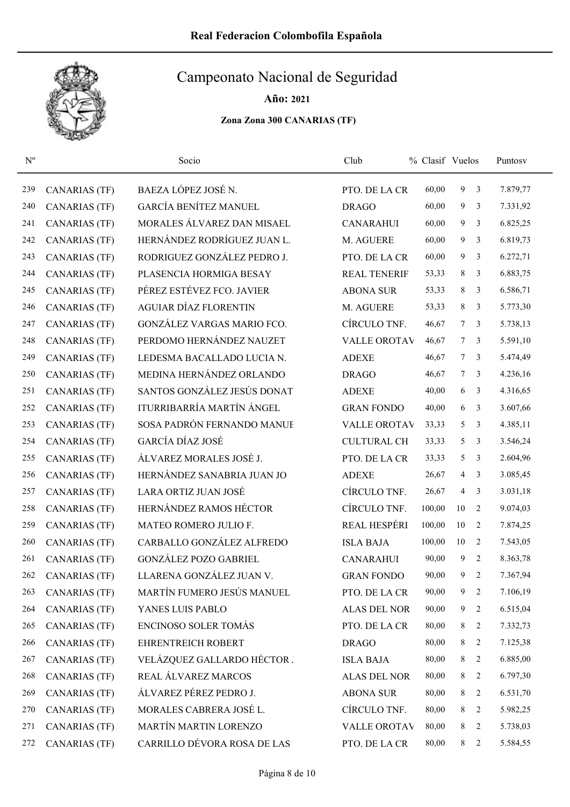

Año: 2021

| $N^{o}$ |                      | Socio                        | Club                | % Clasif Vuelos |                 |                | Puntosy  |
|---------|----------------------|------------------------------|---------------------|-----------------|-----------------|----------------|----------|
| 239     | <b>CANARIAS (TF)</b> | BAEZA LÓPEZ JOSÉ N.          | PTO. DE LA CR       | 60,00           | 9               | 3              | 7.879,77 |
| 240     | <b>CANARIAS (TF)</b> | <b>GARCÍA BENÍTEZ MANUEL</b> | <b>DRAGO</b>        | 60,00           | 9               | 3              | 7.331,92 |
| 241     | <b>CANARIAS (TF)</b> | MORALES ÁLVAREZ DAN MISAEL   | <b>CANARAHUI</b>    | 60,00           | 9               | 3              | 6.825,25 |
| 242     | <b>CANARIAS (TF)</b> | HERNÁNDEZ RODRÍGUEZ JUAN L.  | M. AGUERE           | 60,00           | 9               | 3              | 6.819,73 |
| 243     | <b>CANARIAS (TF)</b> | RODRIGUEZ GONZÁLEZ PEDRO J.  | PTO. DE LA CR       | 60,00           | 9               | 3              | 6.272,71 |
| 244     | <b>CANARIAS (TF)</b> | PLASENCIA HORMIGA BESAY      | <b>REAL TENERIF</b> | 53,33           | 8               | 3              | 6.883,75 |
| 245     | <b>CANARIAS (TF)</b> | PÉREZ ESTÉVEZ FCO. JAVIER    | <b>ABONA SUR</b>    | 53,33           | 8               | 3              | 6.586,71 |
| 246     | <b>CANARIAS (TF)</b> | <b>AGUIAR DÍAZ FLORENTIN</b> | M. AGUERE           | 53,33           | 8               | 3              | 5.773,30 |
| 247     | <b>CANARIAS (TF)</b> | GONZÁLEZ VARGAS MARIO FCO.   | CÍRCULO TNF.        | 46,67           | $7^{\circ}$     | 3              | 5.738,13 |
| 248     | <b>CANARIAS (TF)</b> | PERDOMO HERNÁNDEZ NAUZET     | <b>VALLE OROTAV</b> | 46,67           | $7\overline{ }$ | 3              | 5.591,10 |
| 249     | <b>CANARIAS (TF)</b> | LEDESMA BACALLADO LUCIA N.   | <b>ADEXE</b>        | 46,67           | $7^{\circ}$     | 3              | 5.474,49 |
| 250     | <b>CANARIAS (TF)</b> | MEDINA HERNÁNDEZ ORLANDO     | <b>DRAGO</b>        | 46,67           | 7 <sup>7</sup>  | 3              | 4.236,16 |
| 251     | <b>CANARIAS (TF)</b> | SANTOS GONZÁLEZ JESÚS DONAT  | <b>ADEXE</b>        | 40,00           | 6               | 3              | 4.316,65 |
| 252     | <b>CANARIAS (TF)</b> | ITURRIBARRÍA MARTÍN ÁNGEL    | <b>GRAN FONDO</b>   | 40,00           | 6               | 3              | 3.607,66 |
| 253     | <b>CANARIAS (TF)</b> | SOSA PADRÓN FERNANDO MANUE   | <b>VALLE OROTAV</b> | 33,33           | 5               | 3              | 4.385,11 |
| 254     | <b>CANARIAS (TF)</b> | GARCÍA DÍAZ JOSÉ             | <b>CULTURAL CH</b>  | 33,33           | 5               | 3              | 3.546,24 |
| 255     | <b>CANARIAS (TF)</b> | ÁLVAREZ MORALES JOSÉ J.      | PTO. DE LA CR       | 33,33           | 5               | 3              | 2.604,96 |
| 256     | <b>CANARIAS (TF)</b> | HERNÁNDEZ SANABRIA JUAN JO   | <b>ADEXE</b>        | 26,67           | 4               | 3              | 3.085,45 |
| 257     | <b>CANARIAS (TF)</b> | LARA ORTIZ JUAN JOSÉ         | CÍRCULO TNF.        | 26,67           | 4               | 3              | 3.031,18 |
| 258     | <b>CANARIAS (TF)</b> | HERNÁNDEZ RAMOS HÉCTOR       | CÍRCULO TNF.        | 100,00          | 10              | 2              | 9.074,03 |
| 259     | <b>CANARIAS (TF)</b> | MATEO ROMERO JULIO F.        | REAL HESPÉRI        | 100,00          | 10              | 2              | 7.874,25 |
| 260     | <b>CANARIAS (TF)</b> | CARBALLO GONZÁLEZ ALFREDO    | <b>ISLA BAJA</b>    | 100,00          | 10              | 2              | 7.543,05 |
| 261     | <b>CANARIAS (TF)</b> | <b>GONZÁLEZ POZO GABRIEL</b> | <b>CANARAHUI</b>    | 90,00           | 9               | 2              | 8.363,78 |
| 262     | <b>CANARIAS</b> (TF) | LLARENA GONZÁLEZ JUAN V.     | <b>GRAN FONDO</b>   | 90,00           | 9               | $\overline{2}$ | 7.367,94 |
| 263     | <b>CANARIAS (TF)</b> | MARTÍN FUMERO JESÚS MANUEL   | PTO. DE LA CR       | 90,00           | 9               | 2              | 7.106,19 |
| 264     | <b>CANARIAS (TF)</b> | YANES LUIS PABLO             | <b>ALAS DEL NOR</b> | 90,00           | 9               | 2              | 6.515,04 |
| 265     | <b>CANARIAS (TF)</b> | ENCINOSO SOLER TOMÁS         | PTO. DE LA CR       | 80,00           | 8               | 2              | 7.332,73 |
| 266     | <b>CANARIAS (TF)</b> | EHRENTREICH ROBERT           | <b>DRAGO</b>        | 80,00           | 8               | 2              | 7.125,38 |
| 267     | <b>CANARIAS (TF)</b> | VELÁZQUEZ GALLARDO HÉCTOR.   | <b>ISLA BAJA</b>    | 80,00           | 8               | 2              | 6.885,00 |
| 268     | <b>CANARIAS (TF)</b> | REAL ÁLVAREZ MARCOS          | <b>ALAS DEL NOR</b> | 80,00           | 8               | 2              | 6.797,30 |
| 269     | <b>CANARIAS (TF)</b> | ÁLVAREZ PÉREZ PEDRO J.       | <b>ABONA SUR</b>    | 80,00           | 8               | 2              | 6.531,70 |
| 270     | <b>CANARIAS (TF)</b> | MORALES CABRERA JOSÉ L.      | CÍRCULO TNF.        | 80,00           | 8               | 2              | 5.982,25 |
| 271     | <b>CANARIAS (TF)</b> | MARTÍN MARTIN LORENZO        | <b>VALLE OROTAV</b> | 80,00           | 8               | 2              | 5.738,03 |
| 272     | <b>CANARIAS (TF)</b> | CARRILLO DÉVORA ROSA DE LAS  | PTO. DE LA CR       | 80,00           | 8               | $\overline{2}$ | 5.584,55 |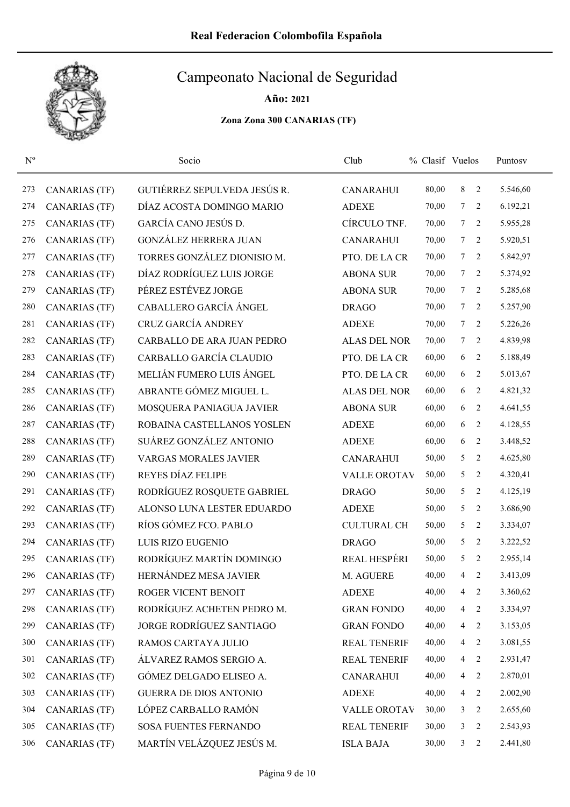

| $N^{\rm o}$ |                      | Socio                         | Club                | % Clasif Vuelos |                 |                | Puntosv  |
|-------------|----------------------|-------------------------------|---------------------|-----------------|-----------------|----------------|----------|
| 273         | <b>CANARIAS (TF)</b> | GUTIÉRREZ SEPULVEDA JESÚS R.  | <b>CANARAHUI</b>    | 80,00           | 8               | 2              | 5.546,60 |
| 274         | CANARIAS (TF)        | DÍAZ ACOSTA DOMINGO MARIO     | <b>ADEXE</b>        | 70,00           | $7^{\circ}$     | 2              | 6.192,21 |
| 275         | <b>CANARIAS (TF)</b> | GARCÍA CANO JESÚS D.          | CÍRCULO TNF.        | 70,00           | $\tau$          | 2              | 5.955,28 |
| 276         | <b>CANARIAS (TF)</b> | <b>GONZÁLEZ HERRERA JUAN</b>  | <b>CANARAHUI</b>    | 70,00           | $\tau$          | 2              | 5.920,51 |
| 277         | <b>CANARIAS (TF)</b> | TORRES GONZÁLEZ DIONISIO M.   | PTO. DE LA CR       | 70,00           | $\tau$          | 2              | 5.842,97 |
| 278         | <b>CANARIAS (TF)</b> | DÍAZ RODRÍGUEZ LUIS JORGE     | <b>ABONA SUR</b>    | 70,00           | $\tau$          | 2              | 5.374,92 |
| 279         | <b>CANARIAS (TF)</b> | PÉREZ ESTÉVEZ JORGE           | <b>ABONA SUR</b>    | 70,00           | $\tau$          | 2              | 5.285,68 |
| 280         | <b>CANARIAS (TF)</b> | CABALLERO GARCÍA ÁNGEL        | <b>DRAGO</b>        | 70,00           | $7^{\circ}$     | 2              | 5.257,90 |
| 281         | <b>CANARIAS (TF)</b> | CRUZ GARCÍA ANDREY            | <b>ADEXE</b>        | 70,00           | 7 <sup>7</sup>  | 2              | 5.226,26 |
| 282         | <b>CANARIAS (TF)</b> | CARBALLO DE ARA JUAN PEDRO    | <b>ALAS DEL NOR</b> | 70,00           | $7\overline{ }$ | 2              | 4.839,98 |
| 283         | <b>CANARIAS (TF)</b> | CARBALLO GARCÍA CLAUDIO       | PTO. DE LA CR       | 60,00           | 6               | 2              | 5.188,49 |
| 284         | <b>CANARIAS (TF)</b> | MELIÁN FUMERO LUIS ÁNGEL      | PTO. DE LA CR       | 60,00           | 6               | 2              | 5.013,67 |
| 285         | <b>CANARIAS (TF)</b> | ABRANTE GÓMEZ MIGUEL L.       | <b>ALAS DEL NOR</b> | 60,00           | 6               | 2              | 4.821,32 |
| 286         | <b>CANARIAS (TF)</b> | MOSQUERA PANIAGUA JAVIER      | <b>ABONA SUR</b>    | 60,00           | 6               | 2              | 4.641,55 |
| 287         | <b>CANARIAS (TF)</b> | ROBAINA CASTELLANOS YOSLEN    | <b>ADEXE</b>        | 60,00           | 6               | 2              | 4.128,55 |
| 288         | <b>CANARIAS (TF)</b> | SUÁREZ GONZÁLEZ ANTONIO       | <b>ADEXE</b>        | 60,00           | 6               | 2              | 3.448,52 |
| 289         | <b>CANARIAS (TF)</b> | <b>VARGAS MORALES JAVIER</b>  | <b>CANARAHUI</b>    | 50,00           | 5               | 2              | 4.625,80 |
| 290         | <b>CANARIAS (TF)</b> | REYES DÍAZ FELIPE             | <b>VALLE OROTAV</b> | 50,00           | 5               | 2              | 4.320,41 |
| 291         | <b>CANARIAS (TF)</b> | RODRÍGUEZ ROSQUETE GABRIEL    | <b>DRAGO</b>        | 50,00           | 5               | 2              | 4.125,19 |
| 292         | <b>CANARIAS (TF)</b> | ALONSO LUNA LESTER EDUARDO    | <b>ADEXE</b>        | 50,00           | 5               | 2              | 3.686,90 |
| 293         | <b>CANARIAS (TF)</b> | RÍOS GÓMEZ FCO. PABLO         | <b>CULTURAL CH</b>  | 50,00           | 5               | 2              | 3.334,07 |
| 294         | <b>CANARIAS</b> (TF) | LUIS RIZO EUGENIO             | <b>DRAGO</b>        | 50,00           | 5               | 2              | 3.222,52 |
| 295         | <b>CANARIAS (TF)</b> | RODRÍGUEZ MARTÍN DOMINGO      | <b>REAL HESPÉRI</b> | 50,00           | 5               | 2              | 2.955,14 |
| 296         | <b>CANARIAS (TF)</b> | HERNÁNDEZ MESA JAVIER         | M. AGUERE           | 40,00           | $\overline{4}$  | 2              | 3.413,09 |
| 297         | <b>CANARIAS (TF)</b> | ROGER VICENT BENOIT           | <b>ADEXE</b>        | 40,00           | 4               | $\overline{c}$ | 3.360,62 |
| 298         | <b>CANARIAS (TF)</b> | RODRÍGUEZ ACHETEN PEDRO M.    | <b>GRAN FONDO</b>   | 40,00           | 4               | 2              | 3.334,97 |
| 299         | CANARIAS (TF)        | JORGE RODRÍGUEZ SANTIAGO      | <b>GRAN FONDO</b>   | 40,00           | $\overline{4}$  | 2              | 3.153,05 |
| 300         | <b>CANARIAS (TF)</b> | RAMOS CARTAYA JULIO           | <b>REAL TENERIF</b> | 40,00           | 4               | 2              | 3.081,55 |
| 301         | <b>CANARIAS (TF)</b> | ÁLVAREZ RAMOS SERGIO A.       | <b>REAL TENERIF</b> | 40,00           | 4               | 2              | 2.931,47 |
| 302         | <b>CANARIAS (TF)</b> | GÓMEZ DELGADO ELISEO A.       | <b>CANARAHUI</b>    | 40,00           | 4               | 2              | 2.870,01 |
| 303         | <b>CANARIAS (TF)</b> | <b>GUERRA DE DIOS ANTONIO</b> | <b>ADEXE</b>        | 40,00           | $\overline{4}$  | 2              | 2.002,90 |
| 304         | <b>CANARIAS (TF)</b> | LÓPEZ CARBALLO RAMÓN          | VALLE OROTAV        | 30,00           | 3               | 2              | 2.655,60 |
| 305         | <b>CANARIAS (TF)</b> | <b>SOSA FUENTES FERNANDO</b>  | <b>REAL TENERIF</b> | 30,00           | 3               | 2              | 2.543,93 |
| 306         | <b>CANARIAS (TF)</b> | MARTÍN VELÁZQUEZ JESÚS M.     | <b>ISLA BAJA</b>    | 30,00           | 3 <sup>7</sup>  | 2              | 2.441,80 |